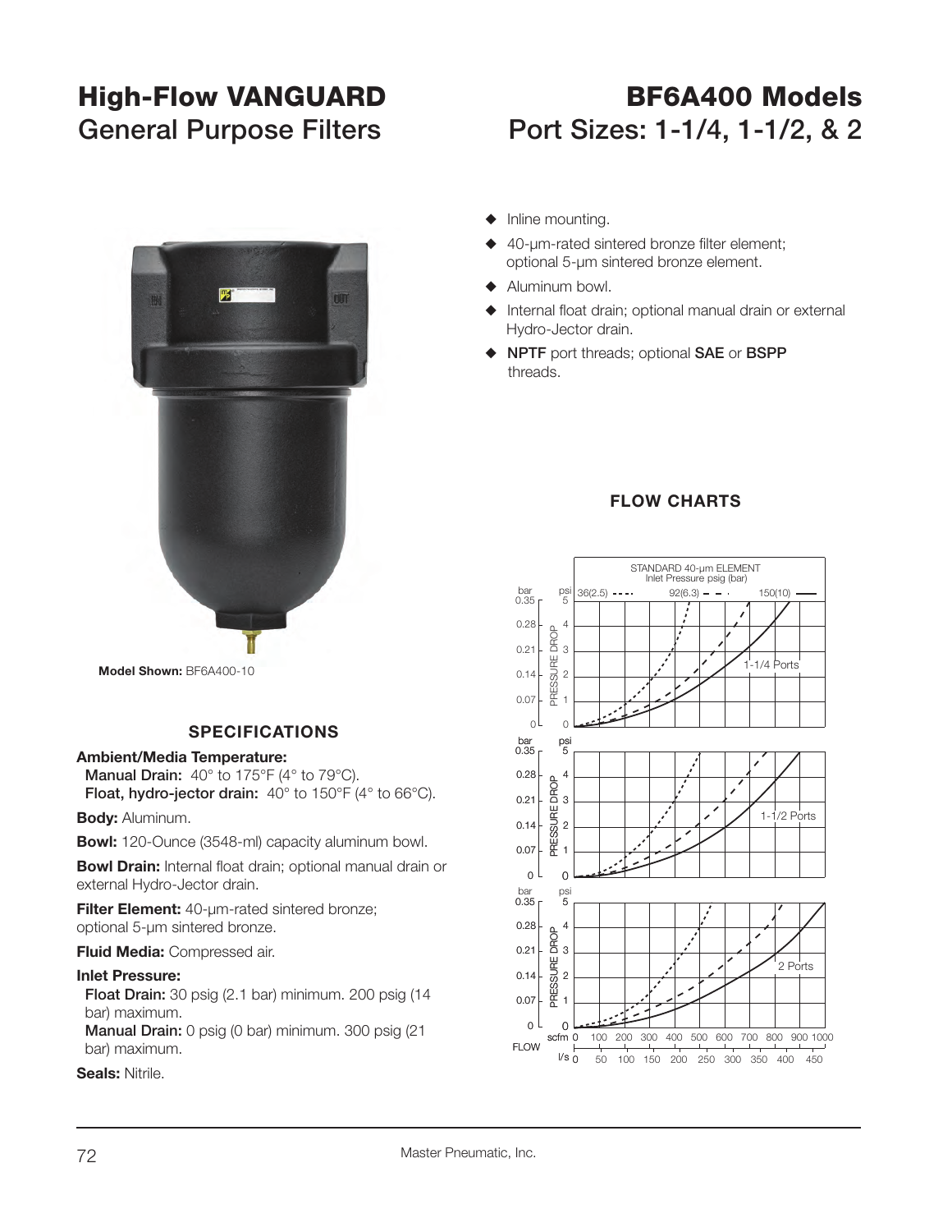# **High-Flow VANGUARD BF6A400 Models General Purpose Filters Port Sizes: 1-1/4, 1-1/2, & 2**



## **SPECIFICATIONS**

#### **Ambient/Media Temperature:**

**Manual Drain:** 40° to 175°F (4° to 79°C). **Float, hydro-jector drain:** 40° to 150°F (4° to 66°C).

**Body:** Aluminum.

**Bowl:** 120-Ounce (3548-ml) capacity aluminum bowl.

**Bowl Drain:** Internal float drain; optional manual drain or external Hydro-Jector drain.

**Filter Element:** 40-µm-rated sintered bronze; optional 5-µm sintered bronze.

#### **Fluid Media:** Compressed air.

#### **Inlet Pressure:**

 **Float Drain:** 30 psig (2.1 bar) minimum. 200 psig (14 bar) maximum.

**Manual Drain:** 0 psig (0 bar) minimum. 300 psig (21 bar) maximum.

**Seals:** Nitrile.

- $\blacklozenge$  Inline mounting.
- 40-um-rated sintered bronze filter element; optional 5-µm sintered bronze element.
- $\blacklozenge$  Aluminum bowl.
- Internal float drain; optional manual drain or external Hydro-Jector drain.
- S **NPTF** port threads; optional **SAE** or **BSPP** threads.



### **FLOW CHARTS**